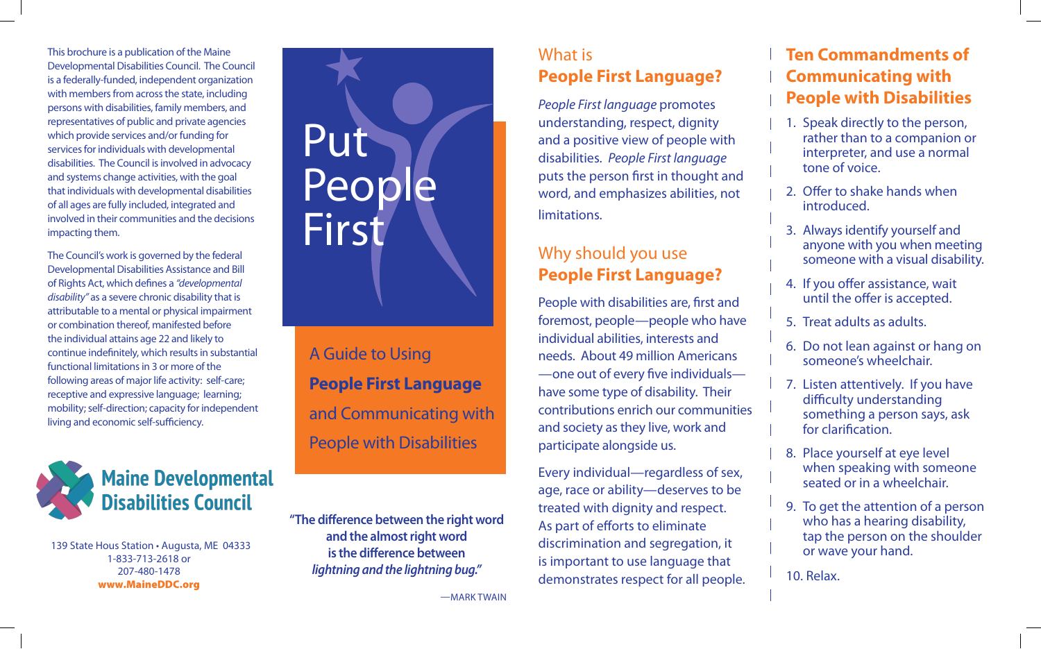This brochure is a publication of the Maine Developmental Disabilities Council. The Council is a federally-funded, independent organization with members from across the state, including persons with disabilities, family members, and representatives of public and private agencies which provide services and/or funding for services for individuals with developmental disabilities. The Council is involved in advocacy and systems change activities, with the goal that individuals with developmental disabilities of all ages are fully included, integrated and involved in their communities and the decisions impacting them.

The Council's work is governed by the federal Developmental Disabilities Assistance and Bill of Rights Act, which defines a *"developmental disability"* as a severe chronic disability that is attributable to a mental or physical impairment or combination thereof, manifested before the individual attains age 22 and likely to continue indefinitely, which results in substantial functional limitations in 3 or more of the following areas of major life activity: self-care; receptive and expressive language; learning; mobility; self-direction; capacity for independent living and economic self-sufficiency.



139 State Hous Station • Augusta, ME 04333 1-833-713-2618 or 207-480-1478 www.MaineDDC.org

# Put Peop First

A Guide to Using **People First Language** and Communicating with People with Disabilities

**"The difference between the right word and the almost right word is the difference between** *lightning and the lightning bug."*

—Mark Twain

#### What is **People First Language?**

*People First language* promotes understanding, respect, dignity and a positive view of people with disabilities. *People First language*  puts the person first in thought and word, and emphasizes abilities, not limitations.

#### Why should you use **People First Language?**

People with disabilities are, first and foremost, people—people who have individual abilities, interests and needs. About 49 million Americans —one out of every five individuals have some type of disability. Their contributions enrich our communities and society as they live, work and participate alongside us.

Every individual—regardless of sex, age, race or ability—deserves to be treated with dignity and respect. As part of efforts to eliminate discrimination and segregation, it is important to use language that demonstrates respect for all people.

#### **Ten Commandments of Communicating with People with Disabilities**

- 1. Speak directly to the person, rather than to a companion or interpreter, and use a normal tone of voice.
- 2. Offer to shake hands when introduced.
- 3. Always identify yourself and anyone with you when meeting someone with a visual disability.
- 4. If you offer assistance, wait until the offer is accepted.
- 5. Treat adults as adults.
- 6. Do not lean against or hang on someone's wheelchair.
- 7. Listen attentively. If you have difficulty understanding something a person says, ask for clarification.
- 8. Place yourself at eye level when speaking with someone seated or in a wheelchair.
- 9. To get the attention of a person who has a hearing disability, tap the person on the shoulder or wave your hand.

10. Relax.